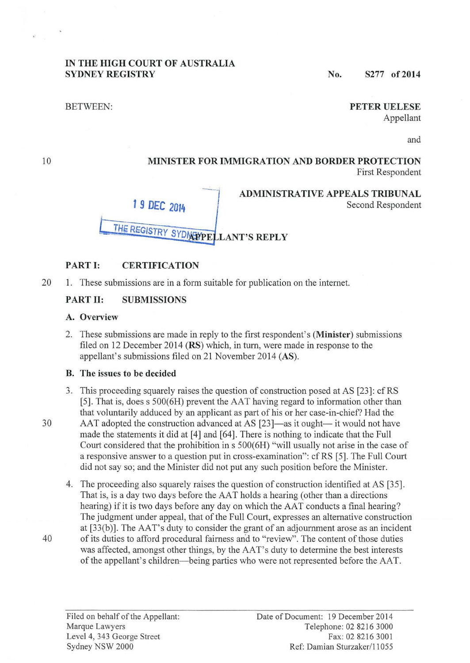#### **IN THE HIGH COURT OF AUSTRALIA SYDNEY REGISTRY** No. S277 of 2014

BETWEEN:

# **PETER UELESE**

Second Respondent

Appellant

and

#### **MINISTER FOR IMMIGRATION AND BORDER PROTECTION**  First Respondent

**ADMINISTRATIVE APPEALS TRIBUNAL** 



#### **PART I: CERTIFICATION**

20 1. These submissions are in a form suitable for publication on the internet.

# **PART II: SUBMISSIONS**

### **A. Overview**

2. These submissions are made in reply to the first respondent's **(Minister)** submissions filed on 12 December 2014 **(RS)** which, in turn, were made in response to the appellant's submissions filed on 21 November 2014 (AS).

#### **B. The issues to be decided**

- 3. This proceeding squarely raises the question of construction posed at AS [23]: cfRS [5]. That is, does s 500(6H) prevent the AAT having regard to information other than that voluntarily adduced by an applicant as part of his or her case-in-chief? Had the
- 

10

30 AAT adopted the construction advanced at AS [23]—as it ought— it would not have made the statements it did at [4] and [64]. There is nothing to indicate that the Full Court considered that the prohibition in s 500(6H) "will usually not arise in the case of a responsive answer to a question put in cross-examination": cf RS [5]. The Full Court did not say so; and the Minister did not put any such position before the Minister.

4. The proceeding also squarely raises the question of construction identified at AS [35]. That is, is a day two days before the AAT holds a hearing (other than a directions hearing) if it is two days before any day on which the AAT conducts a final hearing? The judgment under appeal, that of the Full Court, expresses an alternative construction at  $[33(b)]$ . The AAT's duty to consider the grant of an adjournment arose as an incident 40 of its duties to afford procedural fairness and to "review". The content of those duties was affected, amongst other things, by the AAT's duty to determine the best interests of the appellant's children- being parties who were not represented before the AAT.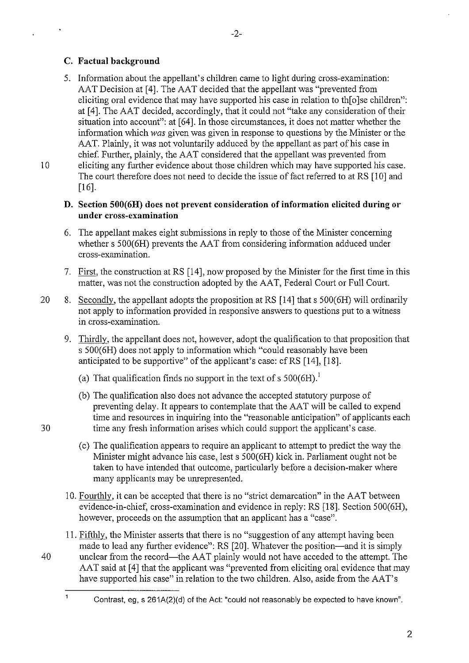# **C. Factual background**

5. Information about the appellant's children came to light during cross-examination: AAT Decision at [4]. The AAT decided that the appellant was "prevented from eliciting oral evidence that may have supported his case in relation to thin olse children": at [4]. The AAT decided, accordingly, that it could not "take any consideration of their situation into account": at [64]. In those circumstances, it does not matter whether the information which *was* given was given in response to questions by the Minister or the AAT. Plainly, it was not voluntarily adduced by the appellant as part of his case in chief. Further, plainly, the AAT considered that the appellant was prevented from

-2-

10 eliciting any further evidence about those children which may have supported his case. The court therefore does not need to decide the issue of fact referred to at RS [10] and [16].

# **D. Section 500(6H) does not prevent consideration of information elicited during or under cross-examination**

- 6. The appellant makes eight submissions in reply to those of the Minister concerning whether s 500(6H) prevents the AAT from considering information adduced under cross-examination.
- 7. First, the construction at RS [14], now proposed by the Minister for the first time in this matter, was not the construction adopted by the AAT, Federal Court or Full Court.
- 20 8. Secondly, the appellant adopts the proposition at RS [14] that s 500(6H) will ordinarily not apply to information provided in responsive answers to questions put to a witness in cross-examination.
	- 9. Thirdly, the appellant does not, however, adopt the qualification to that proposition that s 500(6H) does not apply to information which "could reasonably have been anticipated to be supportive" of the applicant's case: cfRS [14], [18].
		- (a) That qualification finds no support in the text of s  $500(6H)$ .<sup>1</sup>
- (b) The qualification also does not advance the accepted statutory purpose of preventing delay. It appears to contemplate that the AAT will be called to expend time and resources in inquiring into the "reasonable anticipation" of applicants each 30 time any fresh information arises which could support the applicant's case.
	- (c) The qualification appears to require an applicant to attempt to predict the way the Minister might advance his case, lest s 500(6H) kick in. Parliament ought not be taken to have intended that outcome, particularly before a decision-maker where many applicants may be unrepresented.
	- 10. Fourthly, it can be accepted that there is no "strict demarcation" in the AAT between evidence-in-chief, cross-examination and evidence in reply: RS [18]. Section 500(6H), however, proceeds on the assumption that an applicant has a "case".
	- 11. Fifthly, the Minister asserts that there is no "suggestion of any attempt having been made to lead any further evidence": RS [20]. Whatever the position—and it is simply
- 40 unclear from the record—the AAT plainly would not have acceded to the attempt. The AAT said at [4] that the applicant was "prevented from eliciting oral evidence that may have supported his case" in relation to the two children. Also, aside from the AAT's

Contrast, eg, s 261A(2)(d) of the Act: "could not reasonably be expected to have known".

 $\mathbf{1}$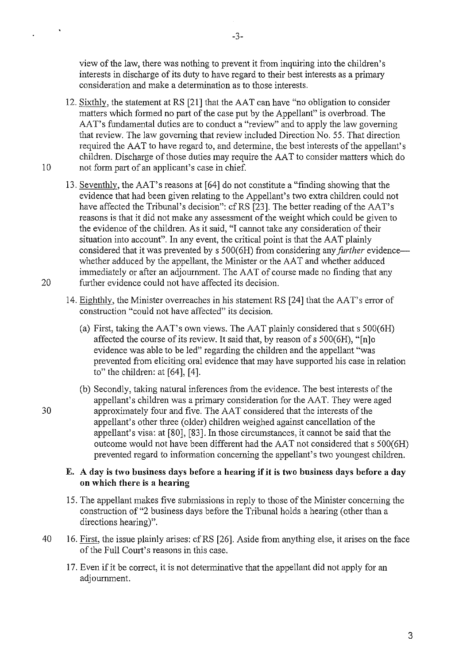view of the law, there was nothing to prevent it from inquiring into the children's interests in discharge of its duty to have regard to their best interests as a primary consideration and make a determination as to those interests.

- 12. Sixthly, the statement at RS [21] that the AAT can have "no obligation to consider matters which formed no part of the case put by the Appellant" is overbroad. The AAT's fundamental duties are to conduct a "review" and to apply the law governing that review. The law governing that review included Direction No. 55. That direction required the AAT to have regard to, and determine, the best interests of the appellant's children. Discharge of those duties may require the AA T to consider matters which do 10 not form part of an applicant's case in chief.
- 13. Seventhly, the AAT's reasons at [64] do not constitute a "finding showing that the evidence that had been given relating to the Appellant's two extra children could not have affected the Tribunal's decision": cf RS [23]. The better reading of the AAT's reasons is that it did not make any assessment of the weight which could be given to the evidence of the children. As it said, "I cannot take any consideration of their situation into account". In any event, the critical point is that the AAT plainly considered that it was prevented by s 500(6H) from considering any *further* evidencewhether adduced by the appellant, the Minister or the AAT and whether adduced innnediately or after an adjournment. The AAT of course made no finding that any 20 further evidence could not have affected its decision.
	- 14. Eighthly, the Minister overreaches in his statement RS [24] that the AAT's error of construction "could not have affected" its decision.
		- (a) First, taking the AAT's own views. The AAT plainly considered that s 500(6H) affected the course of its review. It said that, by reason of  $s$  500(6H), "[n]o evidence was able to be led" regarding the children and the appellant "was prevented from eliciting oral evidence that may have supported his case in relation to" the children: at [64], [4].
- (b) Secondly, taking natural inferences from the evidence. The best interests of the appellant's children was a primary consideration for the AAT. They were aged 30 approximately four and five. The AAT considered that the interests of the appellant's other three (older) children weighed against cancellation of the appellant's visa: at [80], [83]. In those circumstances, it cannot be said that the outcome would not have been different had the AAT not considered that s 500(6H) prevented regard to information concerning the appellant's two youngest children.

#### **E. A day is two business days before a hearing if it is two business days before a day on which there is a hearing**

- 15. The appellant makes five submissions in reply to those of the Minister concerning the construction of "2 business days before the Tribunal holds a hearing (other than a directions hearing)".
- 40 16. First, the issue plainly arises: cfRS [26]. Aside from anything else, it arises on the face of the Full Court's reasons in this case.
	- 17. Even if it be correct, it is not determinative that the appellant did not apply for an adjournment.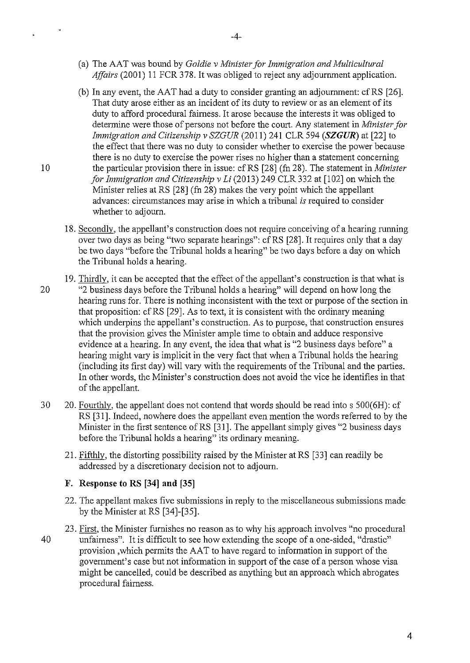- (a) The AAT was bound by *Goldie v Minister for Immigration and Multicultural Affairs* (2001) 11 FCR 378. It was obliged to reject any adjournment application.
- (b) In any event, the AAT had a duty to consider granting an adjournment: cf RS  $[26]$ . That duty arose either as an incident of its duty to review or as an element of its duty to afford procedural fairness. It arose because the interests it was obliged to determine were those of persons not before the court. Any statement in *Minister for Immigration and Citizenship v SZGUR* (2011) 241 CLR 594 *(SZGUR)* at [22] to the effect that there was no duty to consider whether to exercise the power because there is no duty to exercise the power rises no higher than a statement concerning 10 the particular provision there in issue: cf RS [28] (fn 28). The statement in *Minister for Immigration and Citizenship v Li* (2013) 249 CLR 332 at [102] on which the Minister relies at RS [28] (fn 28) makes the very point which the appellant advances: circumstances may arise in which a tribunal *is* required to consider whether to adjourn.
	- 18. Secondly, the appellant's construction does not require conceiving of a hearing rurming over two days as being "two separate hearings": cfRS [28]. It requires only that a day be two days "before the Tribunal holds a hearing" be two days before a day on which the Tribunal holds a hearing.
- 19. Thirdly, it can be accepted that the effect of the appellant's construction is that what is 20 "2 business days before the Tribunal holds a hearing" will depend on how long the hearing runs for. There is nothing inconsistent with the text or purpose of the section in that proposition: cf RS [29]. As to text, it is consistent with the ordinary meaning which underpins the appellant's construction. As to purpose, that construction ensures that the provision gives the Minister ample time to obtain and adduce responsive evidence at a hearing. In any event, the idea that what is "2 business days before" a hearing might vary is implicit in the very fact that when a Tribunal holds the hearing (including its first day) will vary with the requirements of the Tribunal and the parties. In other words, the Minister's construction does not avoid the vice he identifies in that of the appellant.
- 30 20. Fourthly, the appellant does not contend that words should be read into s 500(6H): cf RS [31]. Indeed, nowhere does the appellant even mention the words referred to by the Minister in the first sentence of RS [31]. The appellant simply gives "2 business days before the Tribunal holds a hearing" its ordinary meaning.
	- 21. Fifthly, the distorting possibility raised by the Minister at RS [33] can readily be addressed by a discretionary decision not to adjourn.

#### **F. Response to RS (34] and (35]**

- 22. The appellant makes five submissions in reply to the miscellaneous submissions made by the Minister at RS [34]-[35].
- 23. First, the Minister furnishes no reason as to why his approach involves "no procedural 40 unfairness". It is difficult to see how extending the scope of a one-sided, "drastic" provision ,which permits the AAT to have regard to information in support of the government's case but not information in support of the case of a person whose visa might be cancelled, could be described as anything but an approach which abrogates procedural fairness.